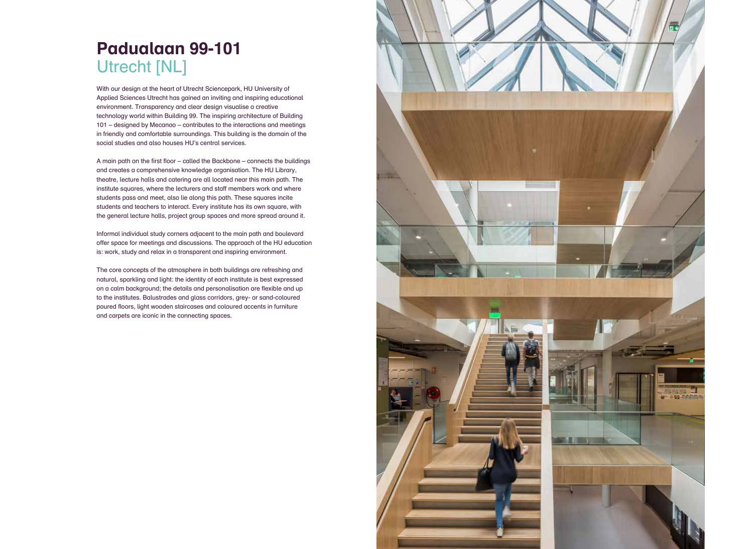# Padualaan 99-101 Utrecht [NL]

With our design at the heart of Utrecht Sciencepark, HU University of Applied Sciences Utrecht has gained an inviting and inspiring educational environment. Transparency and clear design visualise a creative technology world within Building 99. The inspiring architecture of Building 101 – designed by Mecanoo – contributes to the interactions and meetings in friendly and comfortable surroundings. This building is the domain of the social studies and also houses HU's central services.

A main path on the first floor – called the Backbone – connects the buildings and creates a comprehensive knowledge organisation. The HU Library, theatre, lecture halls and catering are all located near this main path. The institute squares, where the lecturers and staff members work and where students pass and meet, also lie along this path. These squares incite students and teachers to interact. Every institute has its own square, with the general lecture halls, project group spaces and more spread around it.

Informal individual study corners adjacent to the main path and boulevard offer space for meetings and discussions. The approach of the HU education is: work, study and relax in a transparent and inspiring environment.

The core concepts of the atmosphere in both buildings are refreshing and natural, sparkling and light: the identity of each institute is best expressed on a calm background; the details and personalisation are flexible and up to the institutes. Balustrades and glass corridors, grey- or sand-coloured poured floors, light wooden staircases and coloured accents in furniture and carpets are iconic in the connecting spaces.

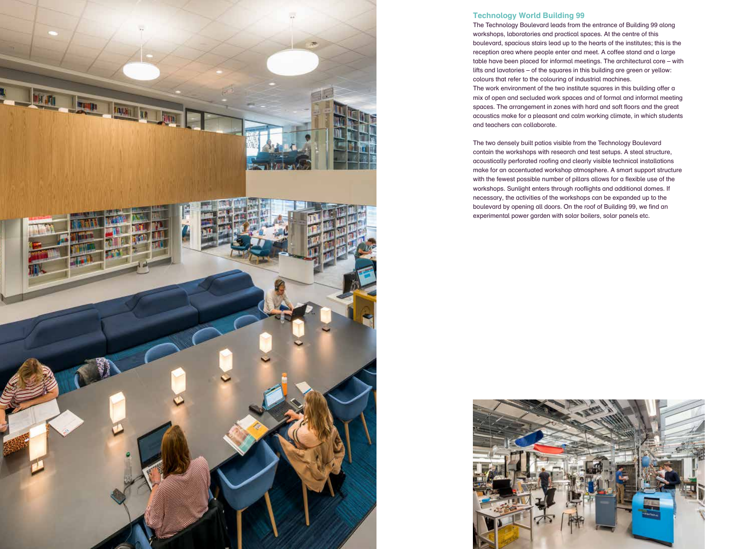

# Technology World Building 99

The Technology Boulevard leads from the entrance of Building 99 along workshops, laboratories and practical spaces. At the centre of this boulevard, spacious stairs lead up to the hearts of the institutes; this is the reception area where people enter and meet. A coffee stand and a large table have been placed for informal meetings. The architectural core – with lifts and lavatories – of the squares in this building are green or yellow: colours that refer to the colouring of industrial machines. The work environment of the two institute squares in this building offer a mix of open and secluded work spaces and of formal and informal meeting spaces. The arrangement in zones with hard and soft floors and the great acoustics make for a pleasant and calm working climate, in which students and teachers can collaborate.

The two densely built patios visible from the Technology Boulevard contain the workshops with research and test setups. A steal structure, acoustically perforated roofing and clearly visible technical installations make for an accentuated workshop atmosphere. A smart support structure with the fewest possible number of pillars allows for a flexible use of the workshops. Sunlight enters through rooflights and additional domes. If necessary, the activities of the workshops can be expanded up to the boulevard by opening all doors. On the roof of Building 99, we find an experimental power garden with solar boilers, solar panels etc.